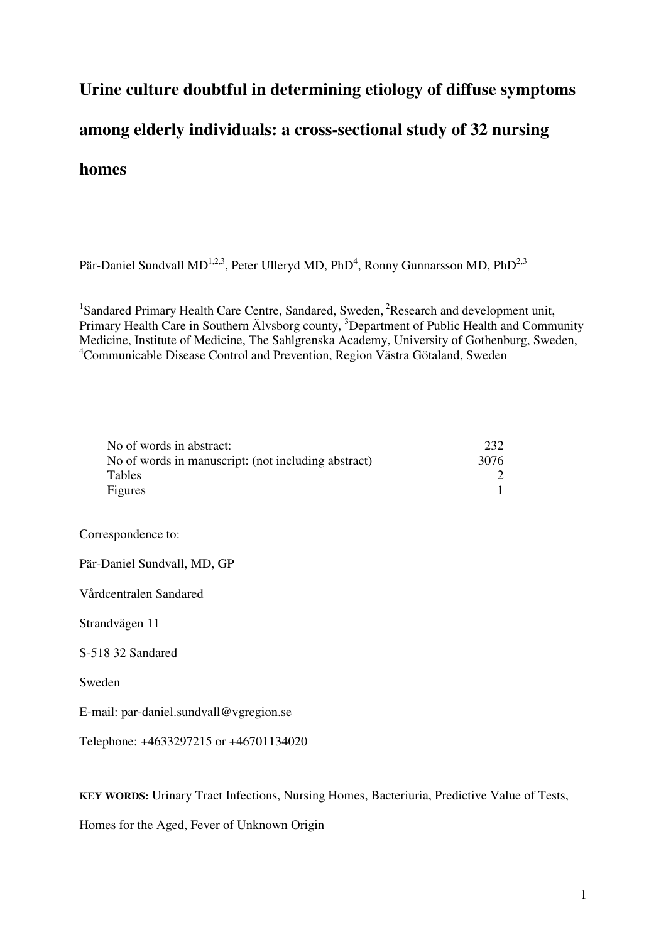# **Urine culture doubtful in determining etiology of diffuse symptoms among elderly individuals: a cross-sectional study of 32 nursing homes**

Pär-Daniel Sundvall MD<sup>1,2,3</sup>, Peter Ulleryd MD, PhD<sup>4</sup>, Ronny Gunnarsson MD, PhD<sup>2,3</sup>

<sup>1</sup>Sandared Primary Health Care Centre, Sandared, Sweden,  ${}^{2}$ Research and development unit, Primary Health Care in Southern Älvsborg county, <sup>3</sup>Department of Public Health and Community Medicine, Institute of Medicine, The Sahlgrenska Academy, University of Gothenburg, Sweden, <sup>4</sup>Communicable Disease Control and Prevention, Region Västra Götaland, Sweden

| No of words in abstract:                            | 232  |
|-----------------------------------------------------|------|
| No of words in manuscript: (not including abstract) | 3076 |
| Tables                                              |      |
| Figures                                             |      |

Correspondence to:

Pär-Daniel Sundvall, MD, GP

Vårdcentralen Sandared

Strandvägen 11

S-518 32 Sandared

Sweden

E-mail: par-daniel.sundvall@vgregion.se

Telephone: +4633297215 or +46701134020

**KEY WORDS:** Urinary Tract Infections, Nursing Homes, Bacteriuria, Predictive Value of Tests,

Homes for the Aged, Fever of Unknown Origin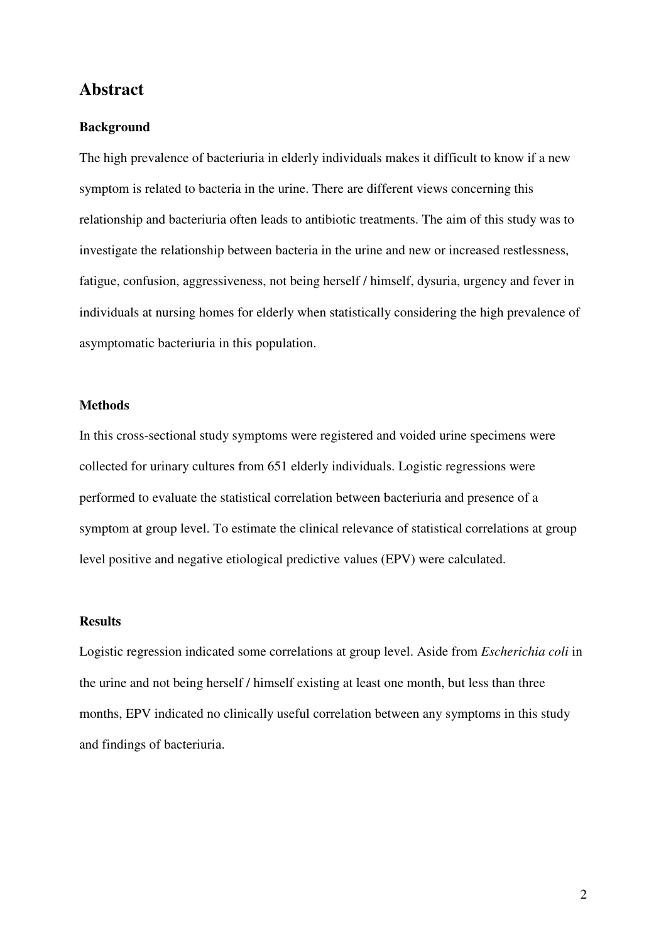## **Abstract**

#### **Background**

The high prevalence of bacteriuria in elderly individuals makes it difficult to know if a new symptom is related to bacteria in the urine. There are different views concerning this relationship and bacteriuria often leads to antibiotic treatments. The aim of this study was to investigate the relationship between bacteria in the urine and new or increased restlessness, fatigue, confusion, aggressiveness, not being herself / himself, dysuria, urgency and fever in individuals at nursing homes for elderly when statistically considering the high prevalence of asymptomatic bacteriuria in this population.

## **Methods**

In this cross-sectional study symptoms were registered and voided urine specimens were collected for urinary cultures from 651 elderly individuals. Logistic regressions were performed to evaluate the statistical correlation between bacteriuria and presence of a symptom at group level. To estimate the clinical relevance of statistical correlations at group level positive and negative etiological predictive values (EPV) were calculated.

## **Results**

Logistic regression indicated some correlations at group level. Aside from *Escherichia coli* in the urine and not being herself / himself existing at least one month, but less than three months, EPV indicated no clinically useful correlation between any symptoms in this study and findings of bacteriuria.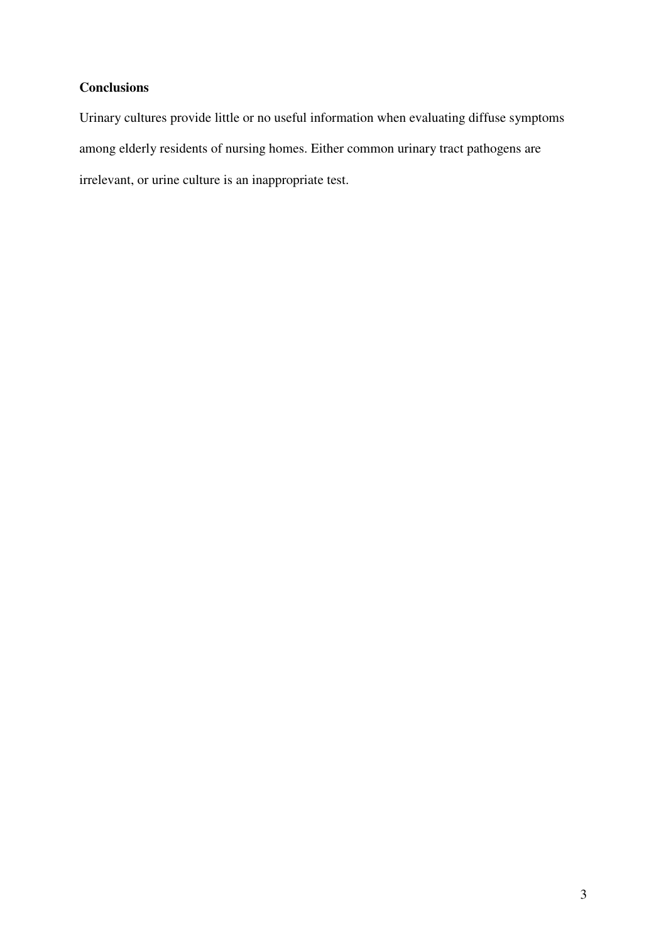## **Conclusions**

Urinary cultures provide little or no useful information when evaluating diffuse symptoms among elderly residents of nursing homes. Either common urinary tract pathogens are irrelevant, or urine culture is an inappropriate test.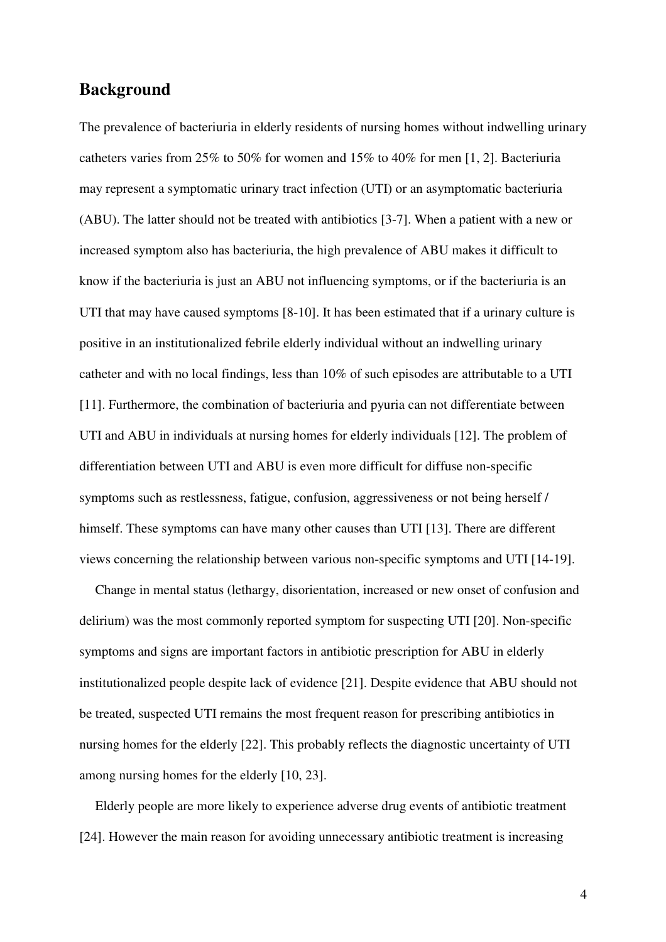# **Background**

The prevalence of bacteriuria in elderly residents of nursing homes without indwelling urinary catheters varies from 25% to 50% for women and 15% to 40% for men [1, 2]. Bacteriuria may represent a symptomatic urinary tract infection (UTI) or an asymptomatic bacteriuria (ABU). The latter should not be treated with antibiotics [3-7]. When a patient with a new or increased symptom also has bacteriuria, the high prevalence of ABU makes it difficult to know if the bacteriuria is just an ABU not influencing symptoms, or if the bacteriuria is an UTI that may have caused symptoms [8-10]. It has been estimated that if a urinary culture is positive in an institutionalized febrile elderly individual without an indwelling urinary catheter and with no local findings, less than 10% of such episodes are attributable to a UTI [11]. Furthermore, the combination of bacteriuria and pyuria can not differentiate between UTI and ABU in individuals at nursing homes for elderly individuals [12]. The problem of differentiation between UTI and ABU is even more difficult for diffuse non-specific symptoms such as restlessness, fatigue, confusion, aggressiveness or not being herself / himself. These symptoms can have many other causes than UTI [13]. There are different views concerning the relationship between various non-specific symptoms and UTI [14-19].

Change in mental status (lethargy, disorientation, increased or new onset of confusion and delirium) was the most commonly reported symptom for suspecting UTI [20]. Non-specific symptoms and signs are important factors in antibiotic prescription for ABU in elderly institutionalized people despite lack of evidence [21]. Despite evidence that ABU should not be treated, suspected UTI remains the most frequent reason for prescribing antibiotics in nursing homes for the elderly [22]. This probably reflects the diagnostic uncertainty of UTI among nursing homes for the elderly [10, 23].

Elderly people are more likely to experience adverse drug events of antibiotic treatment [24]. However the main reason for avoiding unnecessary antibiotic treatment is increasing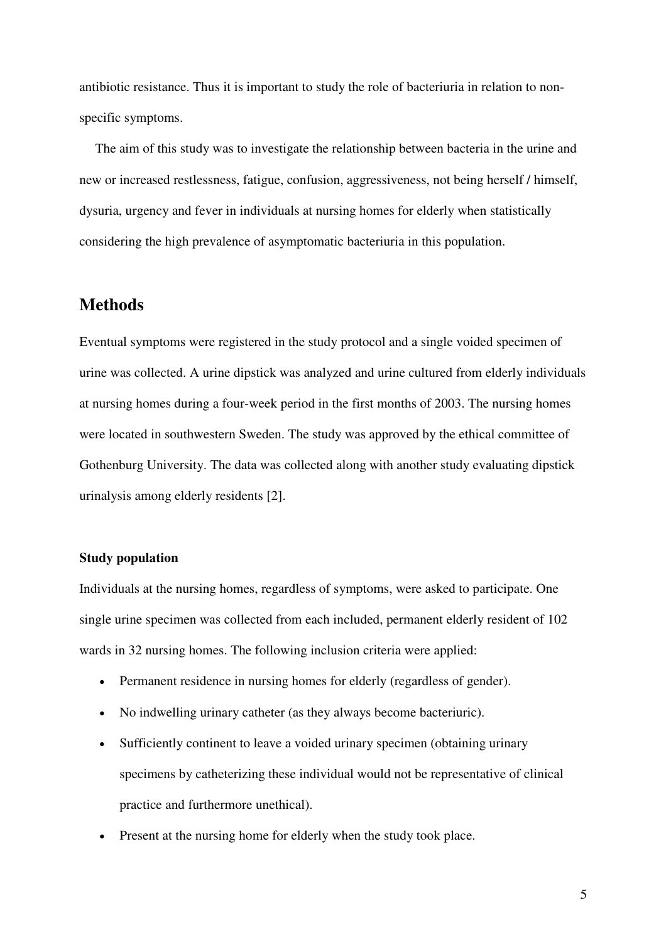antibiotic resistance. Thus it is important to study the role of bacteriuria in relation to nonspecific symptoms.

The aim of this study was to investigate the relationship between bacteria in the urine and new or increased restlessness, fatigue, confusion, aggressiveness, not being herself / himself, dysuria, urgency and fever in individuals at nursing homes for elderly when statistically considering the high prevalence of asymptomatic bacteriuria in this population.

## **Methods**

Eventual symptoms were registered in the study protocol and a single voided specimen of urine was collected. A urine dipstick was analyzed and urine cultured from elderly individuals at nursing homes during a four-week period in the first months of 2003. The nursing homes were located in southwestern Sweden. The study was approved by the ethical committee of Gothenburg University. The data was collected along with another study evaluating dipstick urinalysis among elderly residents [2].

#### **Study population**

Individuals at the nursing homes, regardless of symptoms, were asked to participate. One single urine specimen was collected from each included, permanent elderly resident of 102 wards in 32 nursing homes. The following inclusion criteria were applied:

- Permanent residence in nursing homes for elderly (regardless of gender).
- No indwelling urinary catheter (as they always become bacteriuric).
- Sufficiently continent to leave a voided urinary specimen (obtaining urinary specimens by catheterizing these individual would not be representative of clinical practice and furthermore unethical).
- Present at the nursing home for elderly when the study took place.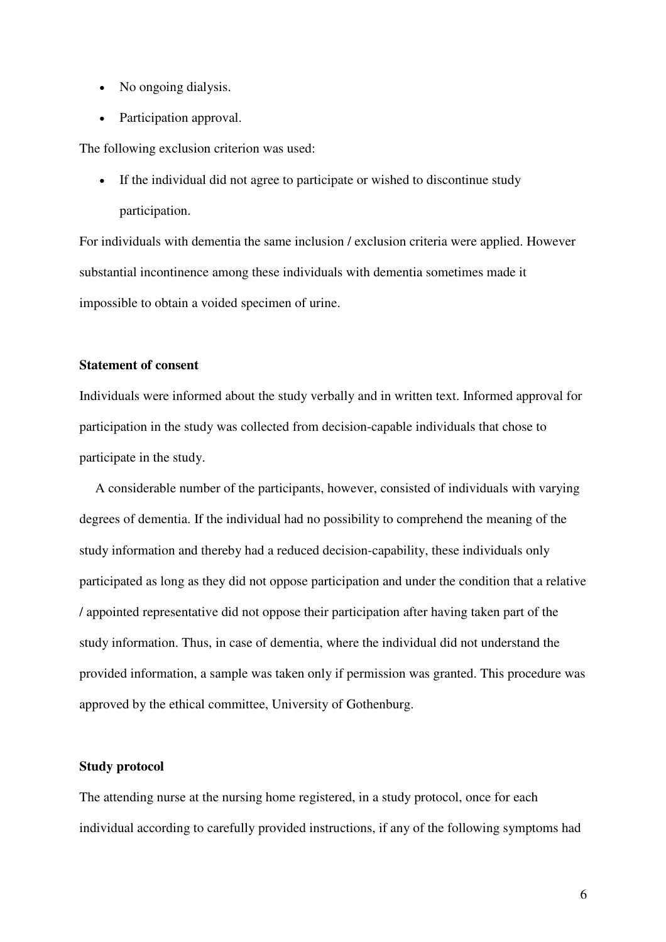- No ongoing dialysis.
- Participation approval.

The following exclusion criterion was used:

• If the individual did not agree to participate or wished to discontinue study participation.

For individuals with dementia the same inclusion / exclusion criteria were applied. However substantial incontinence among these individuals with dementia sometimes made it impossible to obtain a voided specimen of urine.

## **Statement of consent**

Individuals were informed about the study verbally and in written text. Informed approval for participation in the study was collected from decision-capable individuals that chose to participate in the study.

A considerable number of the participants, however, consisted of individuals with varying degrees of dementia. If the individual had no possibility to comprehend the meaning of the study information and thereby had a reduced decision-capability, these individuals only participated as long as they did not oppose participation and under the condition that a relative / appointed representative did not oppose their participation after having taken part of the study information. Thus, in case of dementia, where the individual did not understand the provided information, a sample was taken only if permission was granted. This procedure was approved by the ethical committee, University of Gothenburg.

#### **Study protocol**

The attending nurse at the nursing home registered, in a study protocol, once for each individual according to carefully provided instructions, if any of the following symptoms had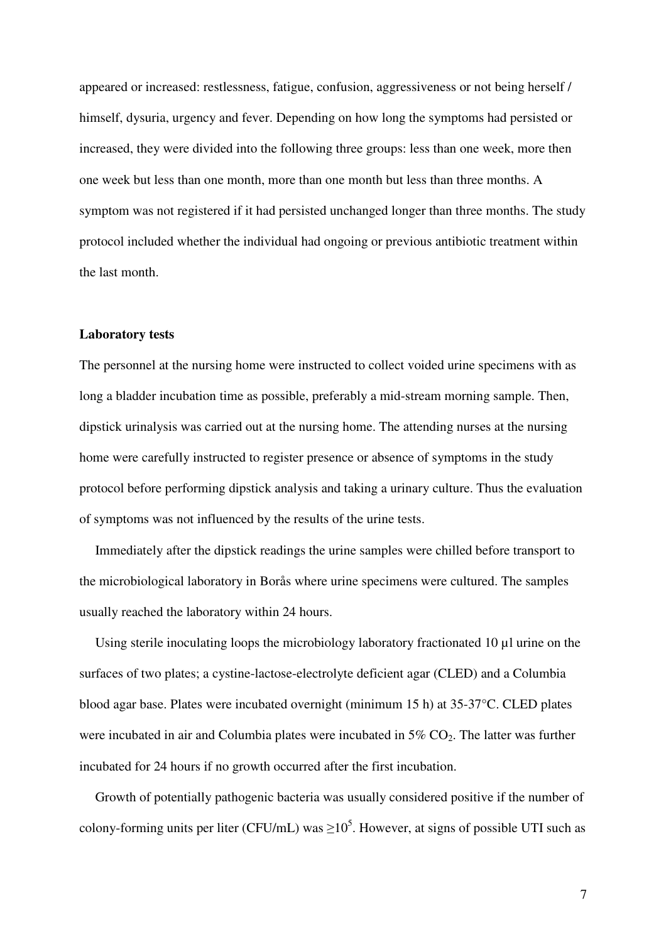appeared or increased: restlessness, fatigue, confusion, aggressiveness or not being herself / himself, dysuria, urgency and fever. Depending on how long the symptoms had persisted or increased, they were divided into the following three groups: less than one week, more then one week but less than one month, more than one month but less than three months. A symptom was not registered if it had persisted unchanged longer than three months. The study protocol included whether the individual had ongoing or previous antibiotic treatment within the last month.

#### **Laboratory tests**

The personnel at the nursing home were instructed to collect voided urine specimens with as long a bladder incubation time as possible, preferably a mid-stream morning sample. Then, dipstick urinalysis was carried out at the nursing home. The attending nurses at the nursing home were carefully instructed to register presence or absence of symptoms in the study protocol before performing dipstick analysis and taking a urinary culture. Thus the evaluation of symptoms was not influenced by the results of the urine tests.

Immediately after the dipstick readings the urine samples were chilled before transport to the microbiological laboratory in Borås where urine specimens were cultured. The samples usually reached the laboratory within 24 hours.

Using sterile inoculating loops the microbiology laboratory fractionated 10 µl urine on the surfaces of two plates; a cystine-lactose-electrolyte deficient agar (CLED) and a Columbia blood agar base. Plates were incubated overnight (minimum 15 h) at 35-37°C. CLED plates were incubated in air and Columbia plates were incubated in  $5\%$  CO<sub>2</sub>. The latter was further incubated for 24 hours if no growth occurred after the first incubation.

Growth of potentially pathogenic bacteria was usually considered positive if the number of colony-forming units per liter (CFU/mL) was  $\geq 10^5$ . However, at signs of possible UTI such as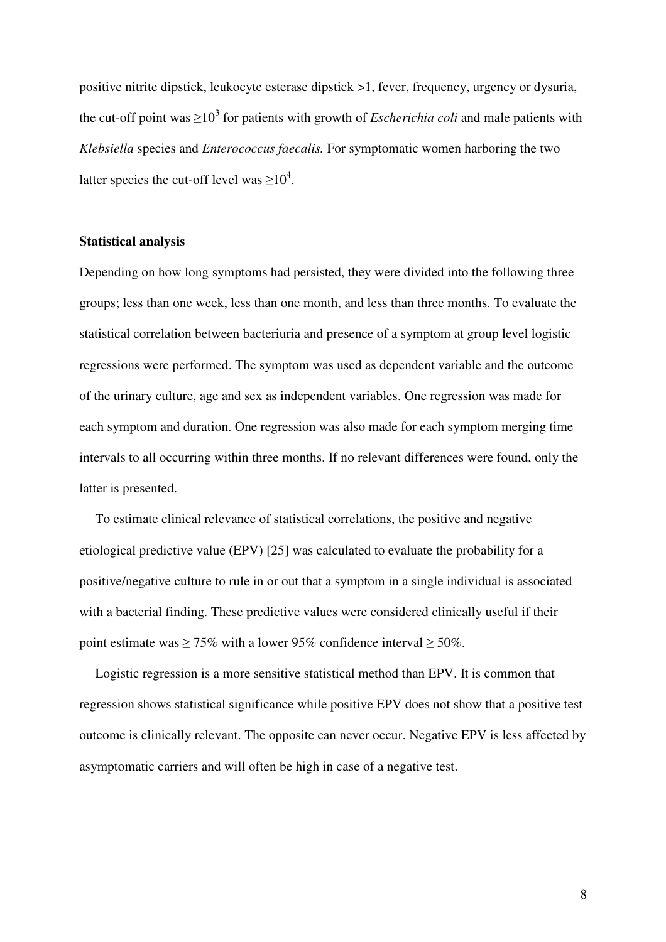positive nitrite dipstick, leukocyte esterase dipstick >1, fever, frequency, urgency or dysuria, the cut-off point was  $\geq 10^3$  for patients with growth of *Escherichia coli* and male patients with *Klebsiella* species and *Enterococcus faecalis.* For symptomatic women harboring the two latter species the cut-off level was  $\geq 10^4$ .

#### **Statistical analysis**

Depending on how long symptoms had persisted, they were divided into the following three groups; less than one week, less than one month, and less than three months. To evaluate the statistical correlation between bacteriuria and presence of a symptom at group level logistic regressions were performed. The symptom was used as dependent variable and the outcome of the urinary culture, age and sex as independent variables. One regression was made for each symptom and duration. One regression was also made for each symptom merging time intervals to all occurring within three months. If no relevant differences were found, only the latter is presented.

To estimate clinical relevance of statistical correlations, the positive and negative etiological predictive value (EPV) [25] was calculated to evaluate the probability for a positive/negative culture to rule in or out that a symptom in a single individual is associated with a bacterial finding. These predictive values were considered clinically useful if their point estimate was  $\geq 75\%$  with a lower 95% confidence interval  $\geq 50\%$ .

Logistic regression is a more sensitive statistical method than EPV. It is common that regression shows statistical significance while positive EPV does not show that a positive test outcome is clinically relevant. The opposite can never occur. Negative EPV is less affected by asymptomatic carriers and will often be high in case of a negative test.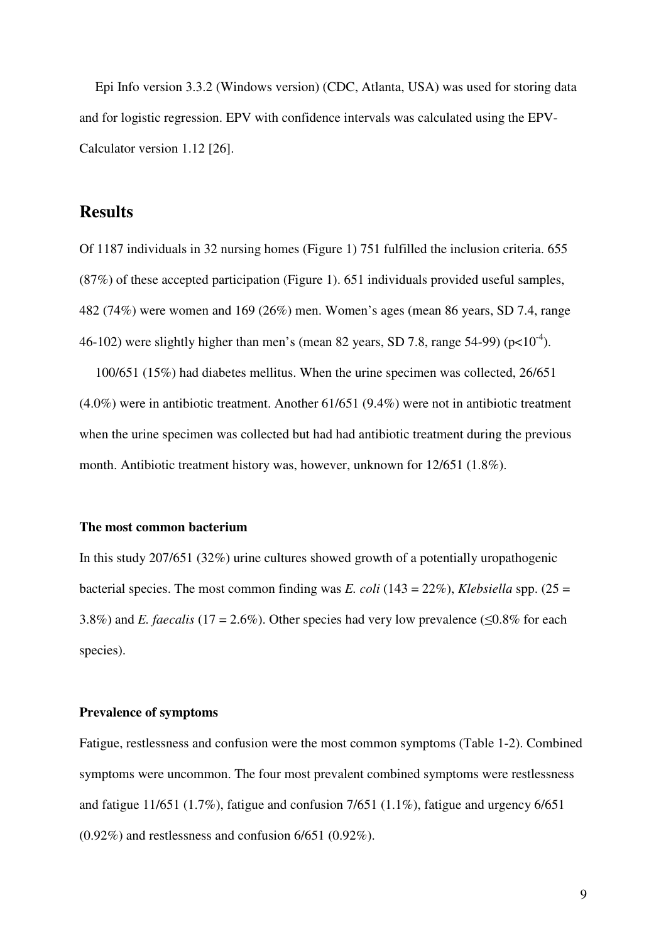Epi Info version 3.3.2 (Windows version) (CDC, Atlanta, USA) was used for storing data and for logistic regression. EPV with confidence intervals was calculated using the EPV-Calculator version 1.12 [26].

## **Results**

Of 1187 individuals in 32 nursing homes (Figure 1) 751 fulfilled the inclusion criteria. 655 (87%) of these accepted participation (Figure 1). 651 individuals provided useful samples, 482 (74%) were women and 169 (26%) men. Women's ages (mean 86 years, SD 7.4, range 46-102) were slightly higher than men's (mean 82 years, SD 7.8, range 54-99) ( $p<10<sup>-4</sup>$ ).

100/651 (15%) had diabetes mellitus. When the urine specimen was collected, 26/651 (4.0%) were in antibiotic treatment. Another 61/651 (9.4%) were not in antibiotic treatment when the urine specimen was collected but had had antibiotic treatment during the previous month. Antibiotic treatment history was, however, unknown for 12/651 (1.8%).

#### **The most common bacterium**

In this study 207/651 (32%) urine cultures showed growth of a potentially uropathogenic bacterial species. The most common finding was *E. coli* (143 = 22%), *Klebsiella* spp. (25 = 3.8%) and *E. faecalis* (17 = 2.6%). Other species had very low prevalence ( $\leq 0.8\%$  for each species).

#### **Prevalence of symptoms**

Fatigue, restlessness and confusion were the most common symptoms (Table 1-2). Combined symptoms were uncommon. The four most prevalent combined symptoms were restlessness and fatigue 11/651 (1.7%), fatigue and confusion 7/651 (1.1%), fatigue and urgency 6/651 (0.92%) and restlessness and confusion 6/651 (0.92%).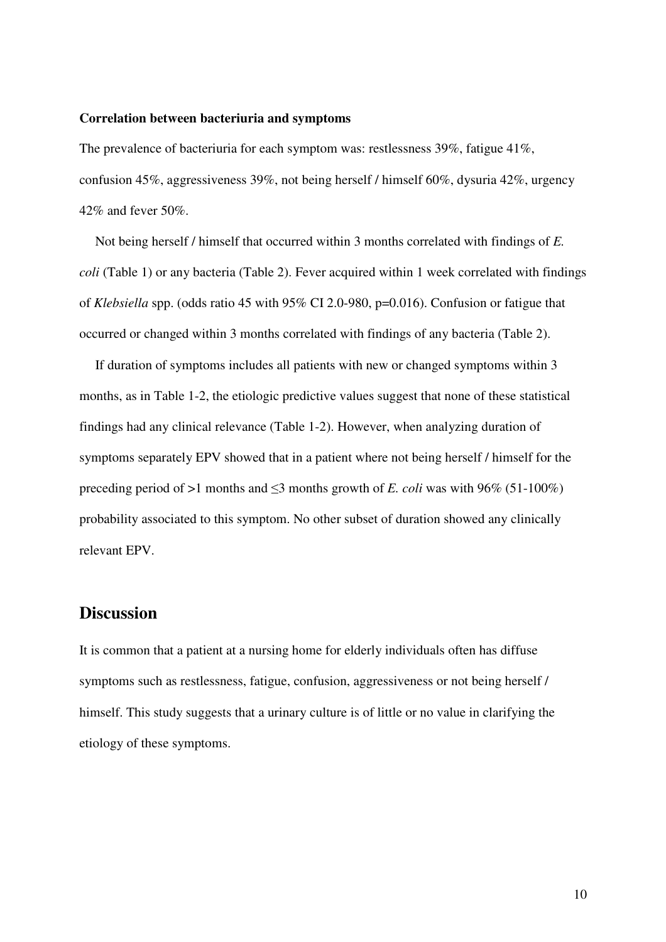#### **Correlation between bacteriuria and symptoms**

The prevalence of bacteriuria for each symptom was: restlessness 39%, fatigue 41%, confusion 45%, aggressiveness 39%, not being herself / himself 60%, dysuria 42%, urgency 42% and fever 50%.

Not being herself / himself that occurred within 3 months correlated with findings of *E. coli* (Table 1) or any bacteria (Table 2). Fever acquired within 1 week correlated with findings of *Klebsiella* spp. (odds ratio 45 with 95% CI 2.0-980, p=0.016). Confusion or fatigue that occurred or changed within 3 months correlated with findings of any bacteria (Table 2).

If duration of symptoms includes all patients with new or changed symptoms within 3 months, as in Table 1-2, the etiologic predictive values suggest that none of these statistical findings had any clinical relevance (Table 1-2). However, when analyzing duration of symptoms separately EPV showed that in a patient where not being herself / himself for the preceding period of >1 months and  $\leq$ 3 months growth of *E. coli* was with 96% (51-100%) probability associated to this symptom. No other subset of duration showed any clinically relevant EPV.

## **Discussion**

It is common that a patient at a nursing home for elderly individuals often has diffuse symptoms such as restlessness, fatigue, confusion, aggressiveness or not being herself / himself. This study suggests that a urinary culture is of little or no value in clarifying the etiology of these symptoms.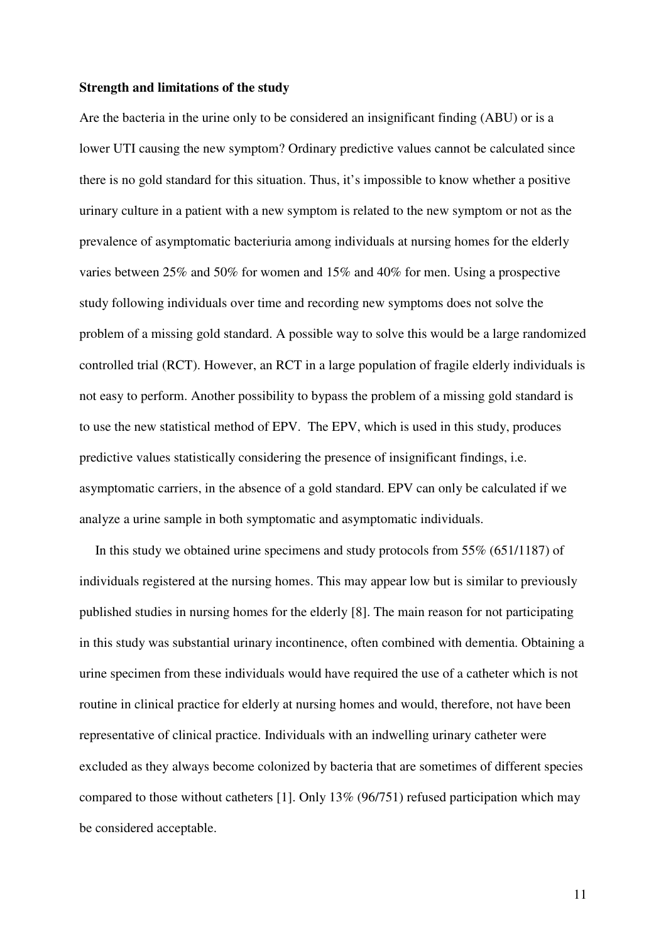#### **Strength and limitations of the study**

Are the bacteria in the urine only to be considered an insignificant finding (ABU) or is a lower UTI causing the new symptom? Ordinary predictive values cannot be calculated since there is no gold standard for this situation. Thus, it's impossible to know whether a positive urinary culture in a patient with a new symptom is related to the new symptom or not as the prevalence of asymptomatic bacteriuria among individuals at nursing homes for the elderly varies between 25% and 50% for women and 15% and 40% for men. Using a prospective study following individuals over time and recording new symptoms does not solve the problem of a missing gold standard. A possible way to solve this would be a large randomized controlled trial (RCT). However, an RCT in a large population of fragile elderly individuals is not easy to perform. Another possibility to bypass the problem of a missing gold standard is to use the new statistical method of EPV. The EPV, which is used in this study, produces predictive values statistically considering the presence of insignificant findings, i.e. asymptomatic carriers, in the absence of a gold standard. EPV can only be calculated if we analyze a urine sample in both symptomatic and asymptomatic individuals.

In this study we obtained urine specimens and study protocols from 55% (651/1187) of individuals registered at the nursing homes. This may appear low but is similar to previously published studies in nursing homes for the elderly [8]. The main reason for not participating in this study was substantial urinary incontinence, often combined with dementia. Obtaining a urine specimen from these individuals would have required the use of a catheter which is not routine in clinical practice for elderly at nursing homes and would, therefore, not have been representative of clinical practice. Individuals with an indwelling urinary catheter were excluded as they always become colonized by bacteria that are sometimes of different species compared to those without catheters [1]. Only 13% (96/751) refused participation which may be considered acceptable.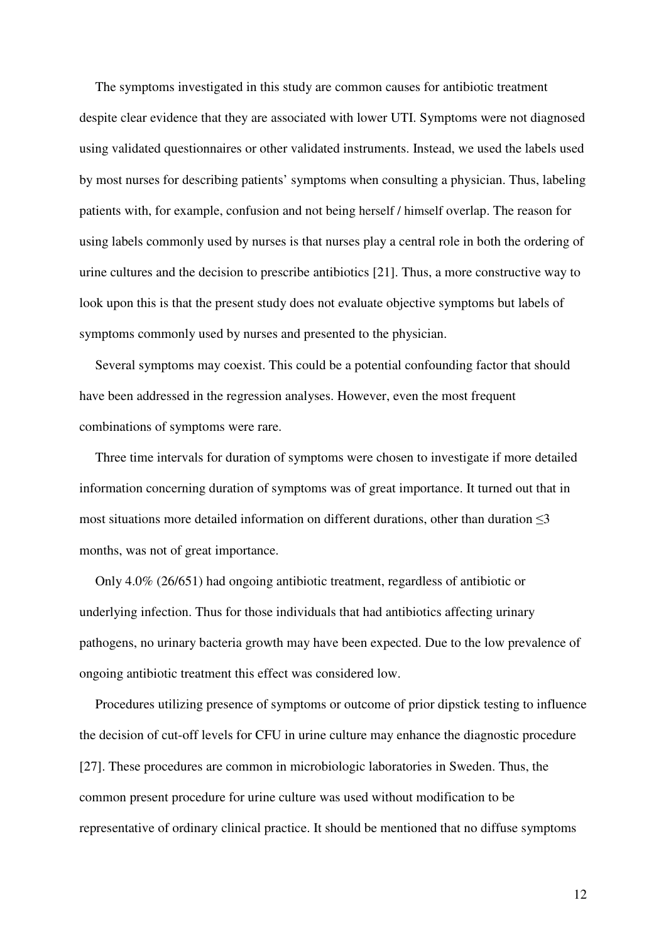The symptoms investigated in this study are common causes for antibiotic treatment despite clear evidence that they are associated with lower UTI. Symptoms were not diagnosed using validated questionnaires or other validated instruments. Instead, we used the labels used by most nurses for describing patients' symptoms when consulting a physician. Thus, labeling patients with, for example, confusion and not being herself / himself overlap. The reason for using labels commonly used by nurses is that nurses play a central role in both the ordering of urine cultures and the decision to prescribe antibiotics [21]. Thus, a more constructive way to look upon this is that the present study does not evaluate objective symptoms but labels of symptoms commonly used by nurses and presented to the physician.

Several symptoms may coexist. This could be a potential confounding factor that should have been addressed in the regression analyses. However, even the most frequent combinations of symptoms were rare.

 Three time intervals for duration of symptoms were chosen to investigate if more detailed information concerning duration of symptoms was of great importance. It turned out that in most situations more detailed information on different durations, other than duration  $\leq$ 3 months, was not of great importance.

Only 4.0% (26/651) had ongoing antibiotic treatment, regardless of antibiotic or underlying infection. Thus for those individuals that had antibiotics affecting urinary pathogens, no urinary bacteria growth may have been expected. Due to the low prevalence of ongoing antibiotic treatment this effect was considered low.

Procedures utilizing presence of symptoms or outcome of prior dipstick testing to influence the decision of cut-off levels for CFU in urine culture may enhance the diagnostic procedure [27]. These procedures are common in microbiologic laboratories in Sweden. Thus, the common present procedure for urine culture was used without modification to be representative of ordinary clinical practice. It should be mentioned that no diffuse symptoms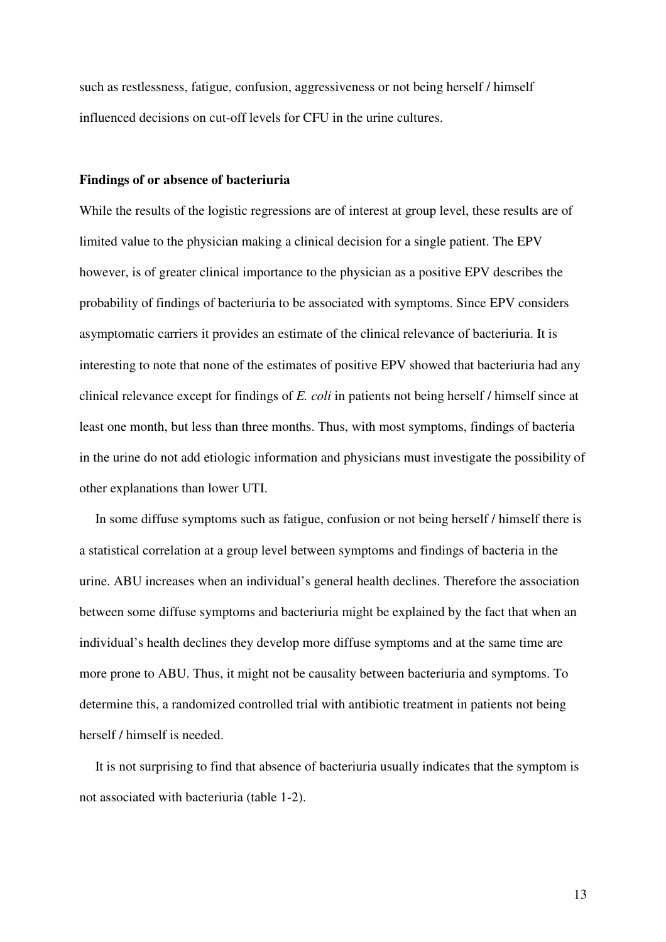such as restlessness, fatigue, confusion, aggressiveness or not being herself / himself influenced decisions on cut-off levels for CFU in the urine cultures.

#### **Findings of or absence of bacteriuria**

While the results of the logistic regressions are of interest at group level, these results are of limited value to the physician making a clinical decision for a single patient. The EPV however, is of greater clinical importance to the physician as a positive EPV describes the probability of findings of bacteriuria to be associated with symptoms. Since EPV considers asymptomatic carriers it provides an estimate of the clinical relevance of bacteriuria. It is interesting to note that none of the estimates of positive EPV showed that bacteriuria had any clinical relevance except for findings of *E. coli* in patients not being herself / himself since at least one month, but less than three months. Thus, with most symptoms, findings of bacteria in the urine do not add etiologic information and physicians must investigate the possibility of other explanations than lower UTI.

 In some diffuse symptoms such as fatigue, confusion or not being herself / himself there is a statistical correlation at a group level between symptoms and findings of bacteria in the urine. ABU increases when an individual's general health declines. Therefore the association between some diffuse symptoms and bacteriuria might be explained by the fact that when an individual's health declines they develop more diffuse symptoms and at the same time are more prone to ABU. Thus, it might not be causality between bacteriuria and symptoms. To determine this, a randomized controlled trial with antibiotic treatment in patients not being herself / himself is needed.

It is not surprising to find that absence of bacteriuria usually indicates that the symptom is not associated with bacteriuria (table 1-2).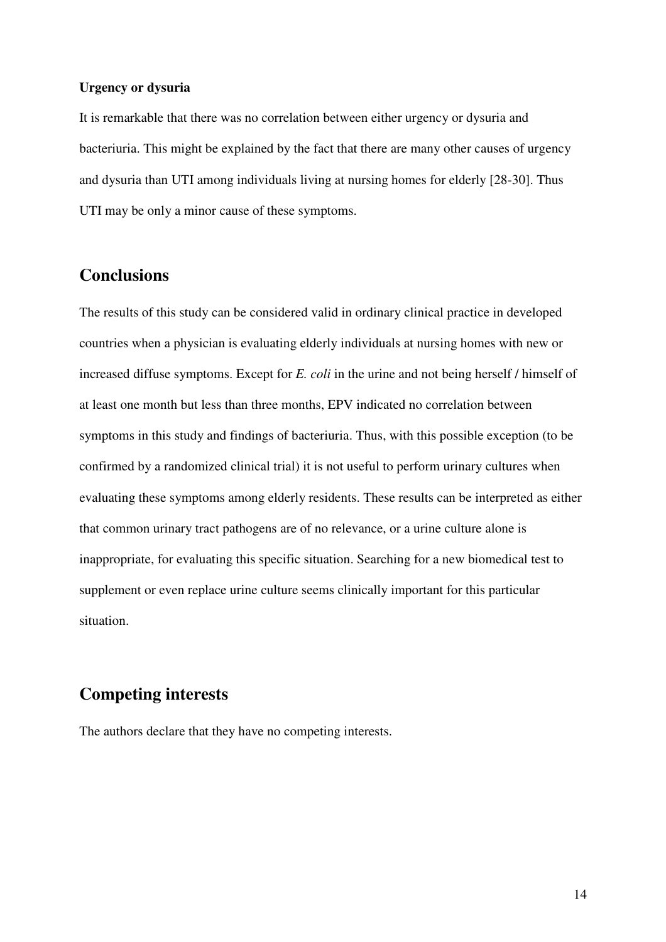#### **Urgency or dysuria**

It is remarkable that there was no correlation between either urgency or dysuria and bacteriuria. This might be explained by the fact that there are many other causes of urgency and dysuria than UTI among individuals living at nursing homes for elderly [28-30]. Thus UTI may be only a minor cause of these symptoms.

## **Conclusions**

The results of this study can be considered valid in ordinary clinical practice in developed countries when a physician is evaluating elderly individuals at nursing homes with new or increased diffuse symptoms. Except for *E. coli* in the urine and not being herself / himself of at least one month but less than three months, EPV indicated no correlation between symptoms in this study and findings of bacteriuria. Thus, with this possible exception (to be confirmed by a randomized clinical trial) it is not useful to perform urinary cultures when evaluating these symptoms among elderly residents. These results can be interpreted as either that common urinary tract pathogens are of no relevance, or a urine culture alone is inappropriate, for evaluating this specific situation. Searching for a new biomedical test to supplement or even replace urine culture seems clinically important for this particular situation.

# **Competing interests**

The authors declare that they have no competing interests.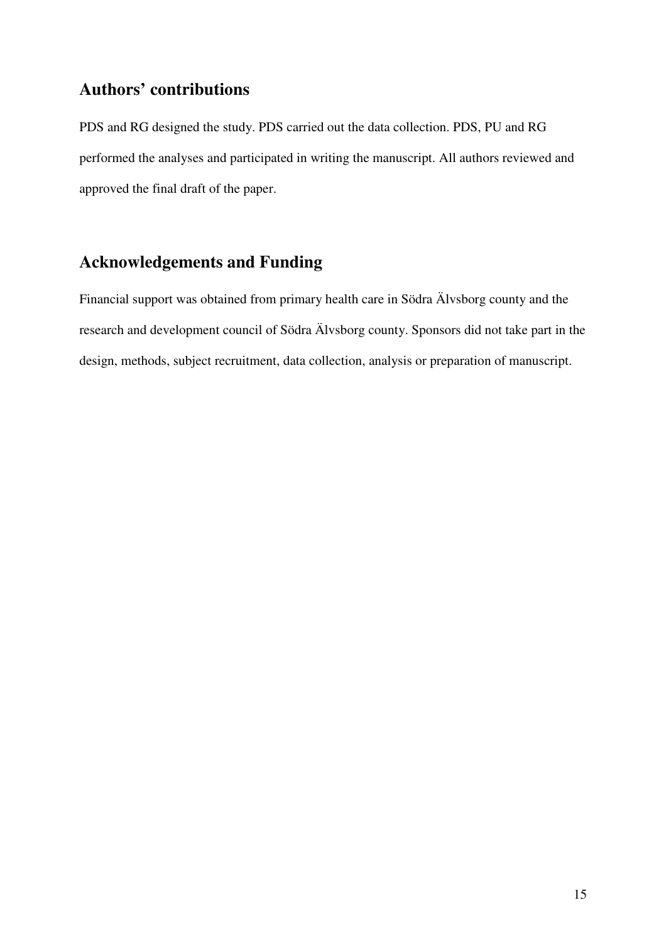# **Authors' contributions**

PDS and RG designed the study. PDS carried out the data collection. PDS, PU and RG performed the analyses and participated in writing the manuscript. All authors reviewed and approved the final draft of the paper.

# **Acknowledgements and Funding**

Financial support was obtained from primary health care in Södra Älvsborg county and the research and development council of Södra Älvsborg county. Sponsors did not take part in the design, methods, subject recruitment, data collection, analysis or preparation of manuscript.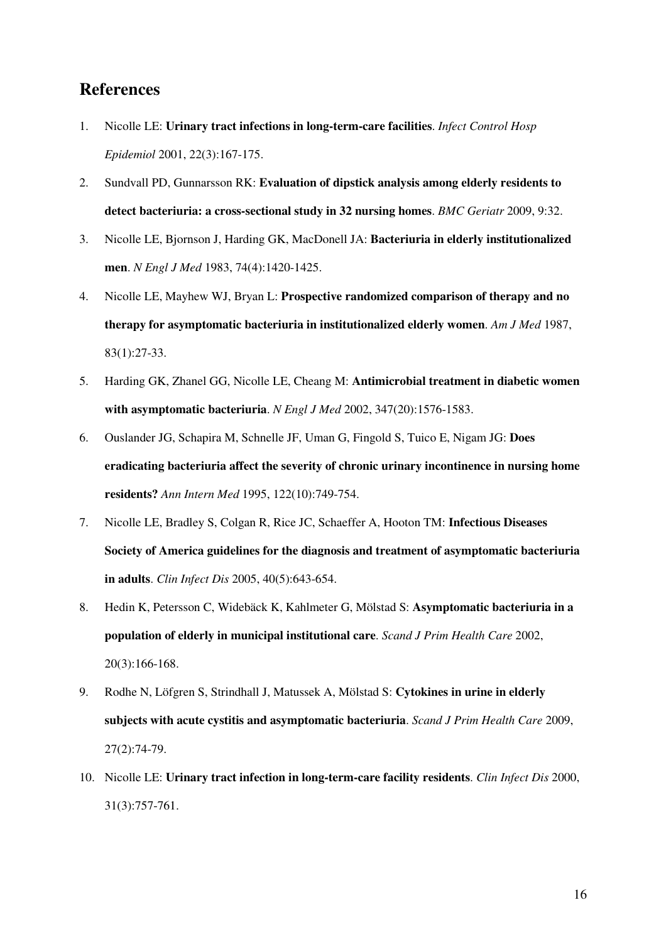# **References**

- 1. Nicolle LE: **Urinary tract infections in long-term-care facilities**. *Infect Control Hosp Epidemiol* 2001, 22(3):167-175.
- 2. Sundvall PD, Gunnarsson RK: **Evaluation of dipstick analysis among elderly residents to detect bacteriuria: a cross-sectional study in 32 nursing homes**. *BMC Geriatr* 2009, 9:32.
- 3. Nicolle LE, Bjornson J, Harding GK, MacDonell JA: **Bacteriuria in elderly institutionalized men**. *N Engl J Med* 1983, 74(4):1420-1425.
- 4. Nicolle LE, Mayhew WJ, Bryan L: **Prospective randomized comparison of therapy and no therapy for asymptomatic bacteriuria in institutionalized elderly women**. *Am J Med* 1987, 83(1):27-33.
- 5. Harding GK, Zhanel GG, Nicolle LE, Cheang M: **Antimicrobial treatment in diabetic women with asymptomatic bacteriuria**. *N Engl J Med* 2002, 347(20):1576-1583.
- 6. Ouslander JG, Schapira M, Schnelle JF, Uman G, Fingold S, Tuico E, Nigam JG: **Does eradicating bacteriuria affect the severity of chronic urinary incontinence in nursing home residents?** *Ann Intern Med* 1995, 122(10):749-754.
- 7. Nicolle LE, Bradley S, Colgan R, Rice JC, Schaeffer A, Hooton TM: **Infectious Diseases Society of America guidelines for the diagnosis and treatment of asymptomatic bacteriuria in adults**. *Clin Infect Dis* 2005, 40(5):643-654.
- 8. Hedin K, Petersson C, Widebäck K, Kahlmeter G, Mölstad S: **Asymptomatic bacteriuria in a population of elderly in municipal institutional care**. *Scand J Prim Health Care* 2002, 20(3):166-168.
- 9. Rodhe N, Löfgren S, Strindhall J, Matussek A, Mölstad S: **Cytokines in urine in elderly subjects with acute cystitis and asymptomatic bacteriuria**. *Scand J Prim Health Care* 2009, 27(2):74-79.
- 10. Nicolle LE: **Urinary tract infection in long-term-care facility residents**. *Clin Infect Dis* 2000, 31(3):757-761.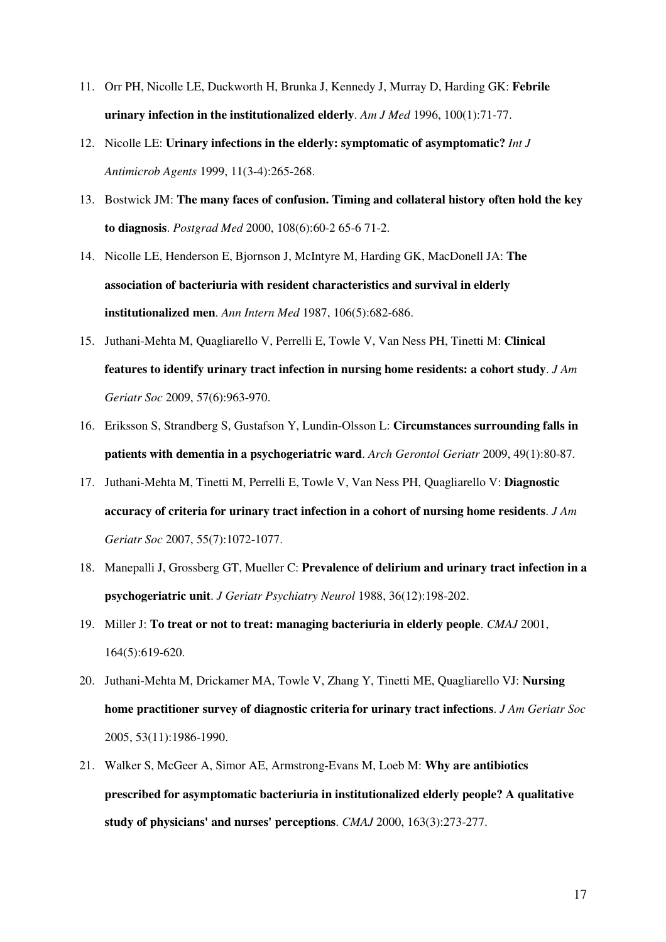- 11. Orr PH, Nicolle LE, Duckworth H, Brunka J, Kennedy J, Murray D, Harding GK: **Febrile urinary infection in the institutionalized elderly**. *Am J Med* 1996, 100(1):71-77.
- 12. Nicolle LE: **Urinary infections in the elderly: symptomatic of asymptomatic?** *Int J Antimicrob Agents* 1999, 11(3-4):265-268.
- 13. Bostwick JM: **The many faces of confusion. Timing and collateral history often hold the key to diagnosis**. *Postgrad Med* 2000, 108(6):60-2 65-6 71-2.
- 14. Nicolle LE, Henderson E, Bjornson J, McIntyre M, Harding GK, MacDonell JA: **The association of bacteriuria with resident characteristics and survival in elderly institutionalized men**. *Ann Intern Med* 1987, 106(5):682-686.
- 15. Juthani-Mehta M, Quagliarello V, Perrelli E, Towle V, Van Ness PH, Tinetti M: **Clinical features to identify urinary tract infection in nursing home residents: a cohort study**. *J Am Geriatr Soc* 2009, 57(6):963-970.
- 16. Eriksson S, Strandberg S, Gustafson Y, Lundin-Olsson L: **Circumstances surrounding falls in patients with dementia in a psychogeriatric ward**. *Arch Gerontol Geriatr* 2009, 49(1):80-87.
- 17. Juthani-Mehta M, Tinetti M, Perrelli E, Towle V, Van Ness PH, Quagliarello V: **Diagnostic accuracy of criteria for urinary tract infection in a cohort of nursing home residents**. *J Am Geriatr Soc* 2007, 55(7):1072-1077.
- 18. Manepalli J, Grossberg GT, Mueller C: **Prevalence of delirium and urinary tract infection in a psychogeriatric unit**. *J Geriatr Psychiatry Neurol* 1988, 36(12):198-202.
- 19. Miller J: **To treat or not to treat: managing bacteriuria in elderly people**. *CMAJ* 2001, 164(5):619-620.
- 20. Juthani-Mehta M, Drickamer MA, Towle V, Zhang Y, Tinetti ME, Quagliarello VJ: **Nursing home practitioner survey of diagnostic criteria for urinary tract infections**. *J Am Geriatr Soc* 2005, 53(11):1986-1990.
- 21. Walker S, McGeer A, Simor AE, Armstrong-Evans M, Loeb M: **Why are antibiotics prescribed for asymptomatic bacteriuria in institutionalized elderly people? A qualitative study of physicians' and nurses' perceptions**. *CMAJ* 2000, 163(3):273-277.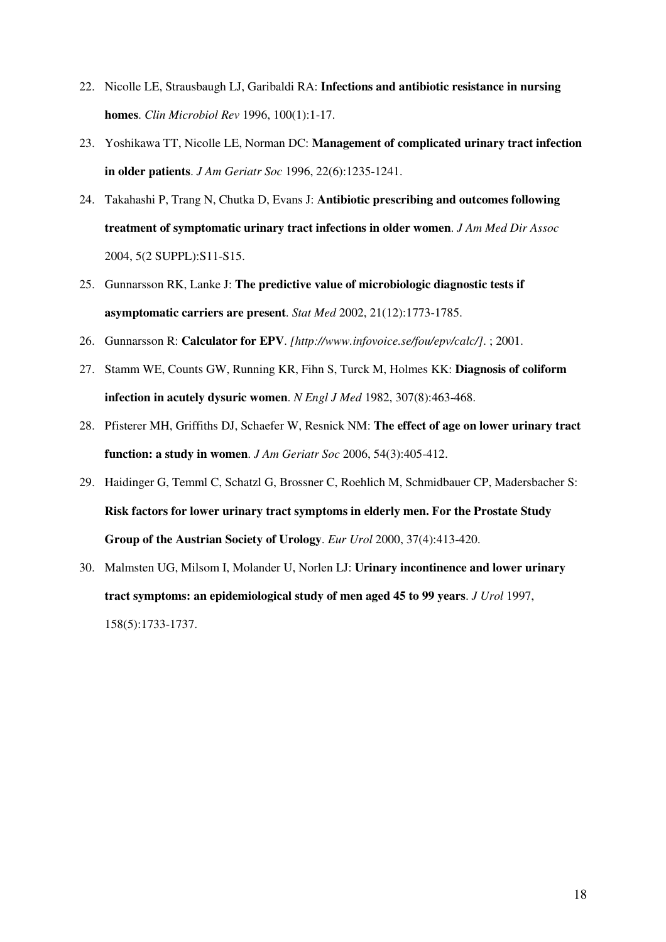- 22. Nicolle LE, Strausbaugh LJ, Garibaldi RA: **Infections and antibiotic resistance in nursing homes**. *Clin Microbiol Rev* 1996, 100(1):1-17.
- 23. Yoshikawa TT, Nicolle LE, Norman DC: **Management of complicated urinary tract infection in older patients**. *J Am Geriatr Soc* 1996, 22(6):1235-1241.
- 24. Takahashi P, Trang N, Chutka D, Evans J: **Antibiotic prescribing and outcomes following treatment of symptomatic urinary tract infections in older women**. *J Am Med Dir Assoc* 2004, 5(2 SUPPL):S11-S15.
- 25. Gunnarsson RK, Lanke J: **The predictive value of microbiologic diagnostic tests if asymptomatic carriers are present**. *Stat Med* 2002, 21(12):1773-1785.
- 26. Gunnarsson R: **Calculator for EPV**. *[http://www.infovoice.se/fou/epv/calc/]*. ; 2001.
- 27. Stamm WE, Counts GW, Running KR, Fihn S, Turck M, Holmes KK: **Diagnosis of coliform infection in acutely dysuric women**. *N Engl J Med* 1982, 307(8):463-468.
- 28. Pfisterer MH, Griffiths DJ, Schaefer W, Resnick NM: **The effect of age on lower urinary tract function: a study in women**. *J Am Geriatr Soc* 2006, 54(3):405-412.
- 29. Haidinger G, Temml C, Schatzl G, Brossner C, Roehlich M, Schmidbauer CP, Madersbacher S: **Risk factors for lower urinary tract symptoms in elderly men. For the Prostate Study Group of the Austrian Society of Urology**. *Eur Urol* 2000, 37(4):413-420.
- 30. Malmsten UG, Milsom I, Molander U, Norlen LJ: **Urinary incontinence and lower urinary tract symptoms: an epidemiological study of men aged 45 to 99 years**. *J Urol* 1997, 158(5):1733-1737.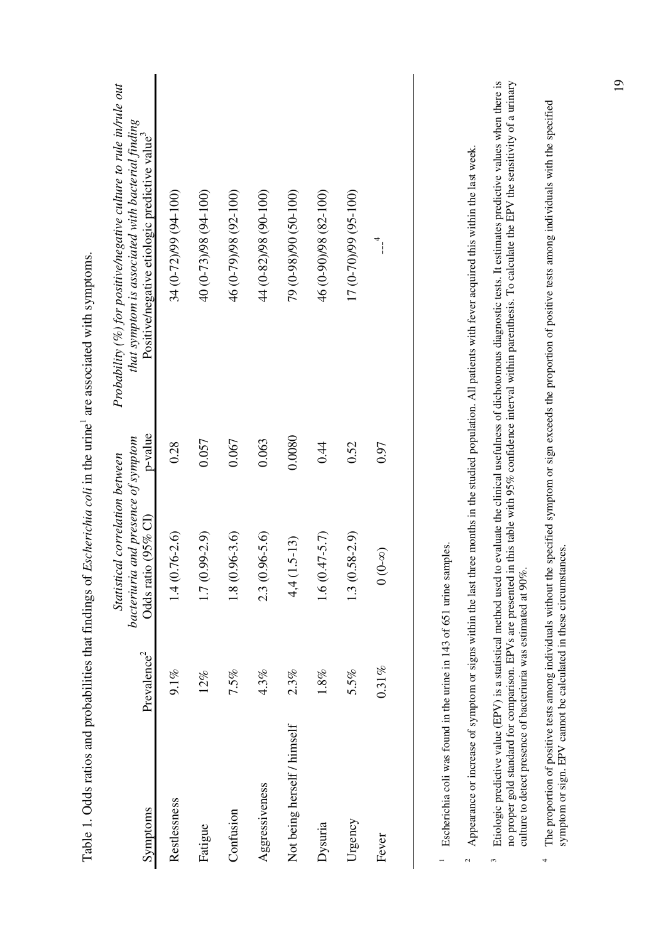| Symptoms                    | Prevalence <sup>2</sup> | bacteriuria and presence of symptom<br>Statistical correlation between<br>Odds ratio (95% CI) | p-value | Probability (%) for positive/negative culture to rule in/rule out<br>that symptom is associated with bacterial finding<br>Positive/negative etiologic predictive value <sup>3</sup> |
|-----------------------------|-------------------------|-----------------------------------------------------------------------------------------------|---------|-------------------------------------------------------------------------------------------------------------------------------------------------------------------------------------|
| Restlessness                | $9.1\%$                 | $1.4(0.76 - 2.6)$                                                                             | 0.28    | 34 (0-72)/99 (94-100)                                                                                                                                                               |
| Fatigue                     | 12%                     | $1.7(0.99 - 2.9)$                                                                             | 0.057   | 40 (0-73)/98 (91-40)                                                                                                                                                                |
| Confusion                   | 7.5%                    | $1.8(0.96-3.6)$                                                                               | 0.067   | 46 (0-79)/98 (92-100)                                                                                                                                                               |
| Aggressiveness              | 4.3%                    | $2.3(0.96 - 5.6)$                                                                             | 0.063   | 44 (0-82)/98 (90-100)                                                                                                                                                               |
| Not being herself / himself | $2.3\%$                 | $(1.5 - 13)$<br>$\frac{4}{1}$                                                                 | 0.0080  | 79 (0-98)/90 (50-100)                                                                                                                                                               |
| Dysuria                     | $1.8\%$                 | $1.6(0.47 - 5.7)$                                                                             | 0.44    | 46 (0-90)/98 (82-100)                                                                                                                                                               |
| Urgency                     | 5.5%                    | $1.3(0.58 - 2.9)$                                                                             | 0.52    | 17 (0-70)/99 (95-100)                                                                                                                                                               |
| Fever                       | $0.31\%$                | $(0-0)$                                                                                       | 0.97    | $\overline{\phantom{a}}^4$                                                                                                                                                          |
|                             |                         |                                                                                               |         |                                                                                                                                                                                     |

Table 1. Odds ratios and probabilities that findings of *Escherichia coli* in the urine1 are associated with symptoms.

Table 1. Odds ratios and probabilities that findings of Escherichia coli in the urine<sup>1</sup> are associated with symptoms.

1 Escherichia coli was found in the urine in 143 of 651 urine samples. Escherichia coli was found in the urine in 143 of 651 urine samples.

 $\overline{a}$ 

<sup>2</sup> Appearance or increase of symptom or signs within the last three months in the studied population. All patients with fever acquired this within the last week. Appearance or increase of symptom or signs within the last three months in the studied population. All patients with fever acquired this within the last week.  $\sim$ 

Etiologic predictive value (EPV) is a statistical method used to evaluate the clinical usefulness of dichotomous diagnostic tests. It estimates predictive values when there is <sup>3</sup> Etiologic predictive value (EPV) is a statistical method used to evaluate the clinical usefulness of dichotomous diagnostic tests. It estimates predictive values when there is no proper gold standard for comparison. EPVs are presented in this table with 95% confidence interval within parenthesis. To calculate the EPV the sensitivity of a urinary no proper gold standard for comparison. EPVs are presented in this table with 95% confidence interval within parenthesis. To calculate the EPV the sensitivity of a urinary culture to detect presence of bacteriuria was estimated at 90%. culture to detect presence of bacteriuria was estimated at 90%.  $\tilde{\mathbf{z}}$ 

The proportion of positive tests among individuals without the specified symptom or sign exceeds the proportion of positive tests among individuals with the specified 4 The proportion of positive tests among individuals without the specified symptom or sign exceeds the proportion of positive tests among individuals with the specified symptom or sign. EPV cannot be calculated in these circumstances. symptom or sign. EPV cannot be calculated in these circumstances. $\overline{a}$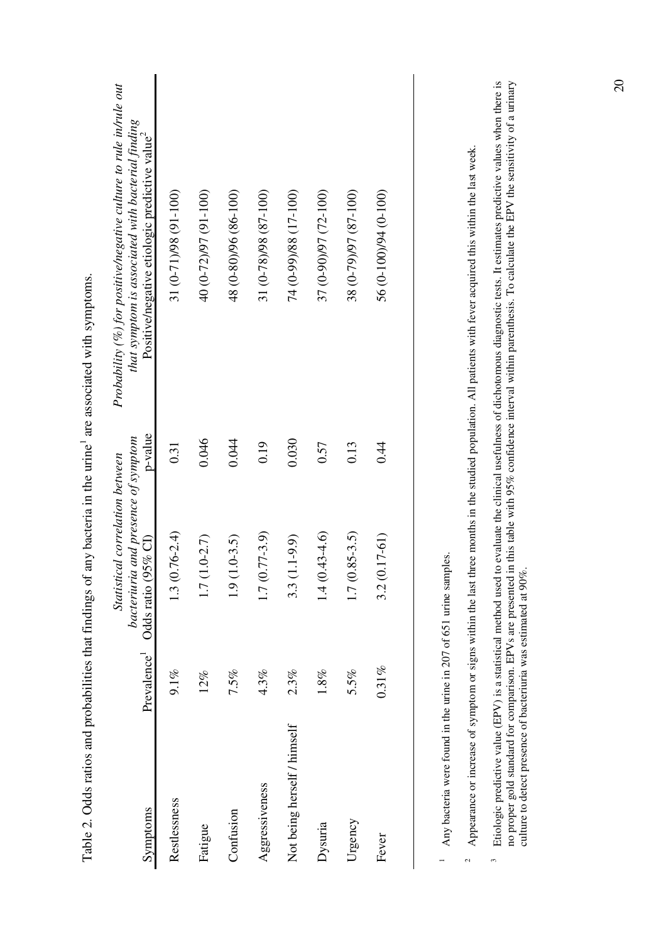| Symptoms                    | Prevalence <sup>1</sup> | bacteriuria and presence of symptom<br>Statistical correlation between<br>Odds ratio (95% CI) | p-value | Probability (%) for positive/negative culture to rule in/rule out<br>that symptom is associated with bacterial finding<br>Positive/negative etiologic predictive value <sup>2</sup> |
|-----------------------------|-------------------------|-----------------------------------------------------------------------------------------------|---------|-------------------------------------------------------------------------------------------------------------------------------------------------------------------------------------|
| Restlessness                | $9.1\%$                 | $1.3(0.76 - 2.4)$                                                                             | 0.31    | 31 (0-71)/98 (91-100)                                                                                                                                                               |
| Fatigue                     | 12%                     | $1.0 - 2.7$<br>1.7 <sub>0</sub>                                                               | 0.046   | 40 (0-72)/97 (91-100)                                                                                                                                                               |
| Confusion                   | 7.5%                    | $1.0 - 3.5$<br>$\frac{1}{9}$                                                                  | 0.044   | 48 (0-80)/96 (86-100)                                                                                                                                                               |
| Aggressiveness              | $4.3\%$                 | $1.7(0.77-3.9)$                                                                               | 0.19    | 31 (0-78)/98 (87-100)                                                                                                                                                               |
| Not being herself / himself | 2.3%                    | $1.1 - 9.9$<br>3.3(                                                                           | 0.030   | (001-71) 88/(66-0) +7                                                                                                                                                               |
| Dysuria                     | 1.8%                    | $1.4(0.43 - 4.6)$                                                                             | 0.57    | 37 (0-90)/97 (72-100)                                                                                                                                                               |
| Urgency                     | 5.5%                    | $1.7(0.85-3.5)$                                                                               | 0.13    | 38 (0-79) 79 7 (87-0)                                                                                                                                                               |
| Fever                       | $0.31\%$                | $3.2(0.17-61)$                                                                                | 0.44    | 56 (0-100)/94 (0-100)                                                                                                                                                               |
|                             |                         |                                                                                               |         |                                                                                                                                                                                     |

Table 2. Odds ratios and probabilities that findings of any bacteria in the urine<sup>1</sup> are associated with symptoms. Table 2. Odds ratios and probabilities that findings of any bacteria in the urine<sup>1</sup> are associated with symptoms.

 $1$  Any bacteria were found in the urine in 207 of 651 urine samples. <sup>1</sup> Any bacteria were found in the urine in 207 of 651 urine samples.

Appearance or increase of symptom or signs within the last three months in the studied population. All patients with fever acquired this within the last week. <sup>2</sup> Appearance or increase of symptom or signs within the last three months in the studied population. All patients with fever acquired this within the last week.  $\sim$ 

Etiologic predictive value (EPV) is a statistical method used to evaluate the clinical usefulness of dichotomous diagnostic tests. It estimates predictive values when there is <sup>3</sup> Etiologic predictive value (EPV) is a statistical method used to evaluate the clinical usefulness of dichotomous diagnostic tests. It estimates predictive values when there is no proper gold standard for comparison. EPVs are presented in this table with 95% confidence interval within parenthesis. To calculate the EPV the sensitivity of a urinary culture to detect presence of bacteriuria was esti no proper gold standard for comparison. EPVs are presented in this table with 95% confidence interval within parenthesis. To calculate the EPV the sensitivity of a urinary culture to detect presence of bacteriuria was estimated at  $90\%$ .  $\tilde{\mathbf{r}}$